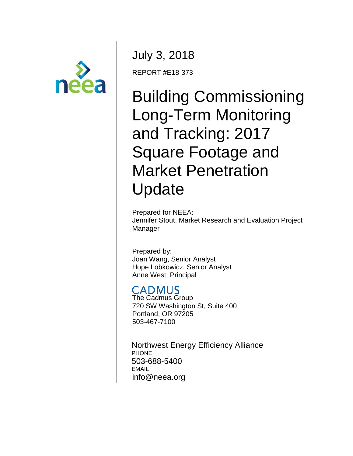

July 3, 2018 REPORT #E18-373

# Building Commissioning Long-Term Monitoring and Tracking: 2017 Square Footage and Market Penetration Update

Prepared for NEEA: Jennifer Stout, Market Research and Evaluation Project Manager

Prepared by: Joan Wang, Senior Analyst Hope Lobkowicz, Senior Analyst Anne West, Principal

# **CADMUS**

The Cadmus Group 720 SW Washington St, Suite 400 Portland, OR 97205 503-467-7100

Northwest Energy Efficiency Alliance **PHONE** 503-688-5400 EMAIL info@neea.org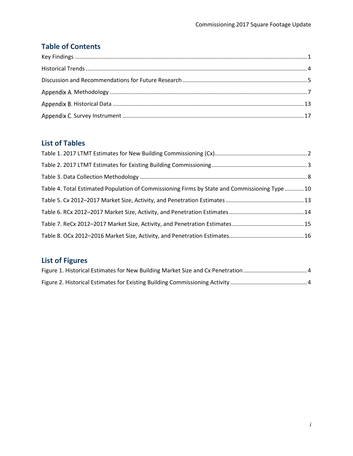## **Table of Contents**

### **List of Tables**

| Table 4. Total Estimated Population of Commissioning Firms by State and Commissioning Type 10 |  |
|-----------------------------------------------------------------------------------------------|--|
|                                                                                               |  |
|                                                                                               |  |
|                                                                                               |  |
|                                                                                               |  |

# **List of Figures**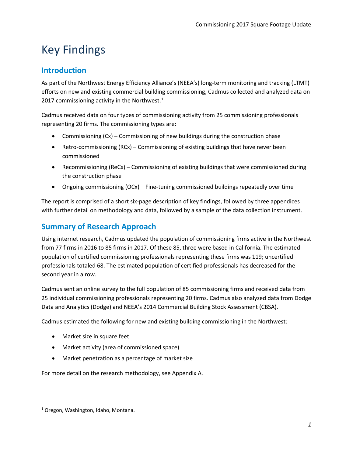# <span id="page-2-0"></span>Key Findings

### **Introduction**

As part of the Northwest Energy Efficiency Alliance's (NEEA's) long-term monitoring and tracking (LTMT) efforts on new and existing commercial building commissioning, Cadmus collected and analyzed data on 20[1](#page-2-1)7 commissioning activity in the Northwest. $1$ 

Cadmus received data on four types of commissioning activity from 25 commissioning professionals representing 20 firms. The commissioning types are:

- Commissioning (Cx) Commissioning of new buildings during the construction phase
- Retro-commissioning (RCx) Commissioning of existing buildings that have never been commissioned
- Recommissioning (ReCx) Commissioning of existing buildings that were commissioned during the construction phase
- Ongoing commissioning (OCx) Fine-tuning commissioned buildings repeatedly over time

The report is comprised of a short six-page description of key findings, followed by three appendices with further detail on methodology and data, followed by a sample of the data collection instrument.

### **Summary of Research Approach**

Using internet research, Cadmus updated the population of commissioning firms active in the Northwest from 77 firms in 2016 to 85 firms in 2017. Of these 85, three were based in California. The estimated population of certified commissioning professionals representing these firms was 119; uncertified professionals totaled 68. The estimated population of certified professionals has decreased for the second year in a row.

Cadmus sent an online survey to the full population of 85 commissioning firms and received data from 25 individual commissioning professionals representing 20 firms. Cadmus also analyzed data from Dodge Data and Analytics (Dodge) and NEEA's 2014 Commercial Building Stock Assessment (CBSA).

Cadmus estimated the following for new and existing building commissioning in the Northwest:

- Market size in square feet
- Market activity (area of commissioned space)
- Market penetration as a percentage of market size

For more detail on the research methodology, see Appendix A.

l

<span id="page-2-1"></span><sup>1</sup> Oregon, Washington, Idaho, Montana.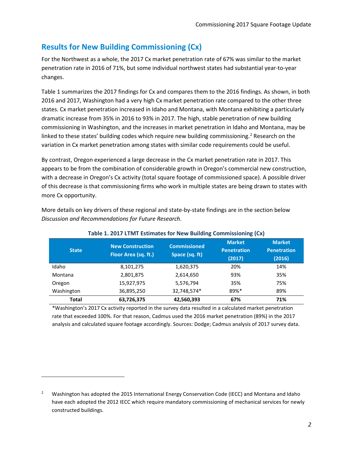### **Results for New Building Commissioning (Cx)**

For the Northwest as a whole, the 2017 Cx market penetration rate of 67% was similar to the market penetration rate in 2016 of 71%, but some individual northwest states had substantial year-to-year changes.

[Table 1](#page-3-0) summarizes the 2017 findings for Cx and compares them to the 2016 findings. As shown, in both 2016 and 2017, Washington had a very high Cx market penetration rate compared to the other three states. Cx market penetration increased in Idaho and Montana, with Montana exhibiting a particularly dramatic increase from 35% in 2016 to 93% in 2017. The high, stable penetration of new building commissioning in Washington, and the increases in market penetration in Idaho and Montana, may be linked to these states' building codes which require new building commissioning.<sup>[2](#page-3-1)</sup> Research on the variation in Cx market penetration among states with similar code requirements could be useful.

By contrast, Oregon experienced a large decrease in the Cx market penetration rate in 2017. This appears to be from the combination of considerable growth in Oregon's commercial new construction, with a decrease in Oregon's Cx activity (total square footage of commissioned space). A possible driver of this decrease is that commissioning firms who work in multiple states are being drawn to states with more Cx opportunity.

More details on key drivers of these regional and state-by-state findings are in the section below *[Discussion and Recommendations for Future Research](#page-6-0)*.

<span id="page-3-0"></span>

| <b>State</b> | <b>New Construction</b><br>Floor Area (sq. ft.) | <b>Commissioned</b><br>Space (sq. ft) | <b>Market</b><br><b>Penetration</b><br>(2017) | <b>Market</b><br><b>Penetration</b><br>(2016) |
|--------------|-------------------------------------------------|---------------------------------------|-----------------------------------------------|-----------------------------------------------|
| Idaho        | 8,101,275                                       | 1,620,375                             | 20%                                           | 14%                                           |
| Montana      | 2,801,875                                       | 2,614,650                             | 93%                                           | 35%                                           |
| Oregon       | 15,927,975                                      | 5,576,794                             | 35%                                           | 75%                                           |
| Washington   | 36,895,250                                      | 32,748,574*                           | 89%*                                          | 89%                                           |
| Total        | 63,726,375                                      | 42,560,393                            | 67%                                           | 71%                                           |

#### **Table 1. 2017 LTMT Estimates for New Building Commissioning (Cx)**

\*Washington's 2017 Cx activity reported in the survey data resulted in a calculated market penetration rate that exceeded 100%. For that reason, Cadmus used the 2016 market penetration (89%) in the 2017 analysis and calculated square footage accordingly. Sources: Dodge; Cadmus analysis of 2017 survey data.

 $\overline{\phantom{a}}$ 

<span id="page-3-1"></span><sup>&</sup>lt;sup>2</sup> Washington has adopted the 2015 International Energy Conservation Code (IECC) and Montana and Idaho have each adopted the 2012 IECC which require mandatory commissioning of mechanical services for newly constructed buildings.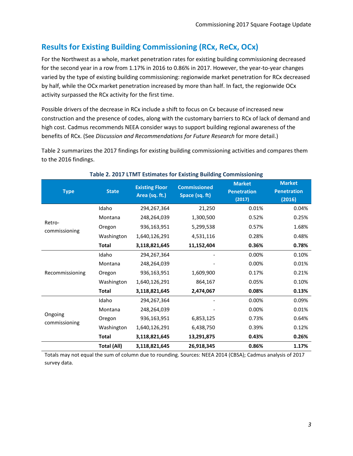## **Results for Existing Building Commissioning (RCx, ReCx, OCx)**

For the Northwest as a whole, market penetration rates for existing building commissioning decreased for the second year in a row from 1.17% in 2016 to 0.86% in 2017. However, the year-to-year changes varied by the type of existing building commissioning: regionwide market penetration for RCx decreased by half, while the OCx market penetration increased by more than half. In fact, the regionwide OCx activity surpassed the RCx activity for the first time.

Possible drivers of the decrease in RCx include a shift to focus on Cx because of increased new construction and the presence of codes, along with the customary barriers to RCx of lack of demand and high cost. Cadmus recommends NEEA consider ways to support building regional awareness of the benefits of RCx. (See *[Discussion and Recommendations for Future Research](#page-6-0)* for more detail.)

[Table 2](#page-4-1) summarizes the 2017 findings for existing building commissioning activities and compares them to the 2016 findings.

<span id="page-4-1"></span>

| <b>Type</b>              | <b>State</b>       | <b>Existing Floor</b><br>Area (sq. ft.) | <b>Commissioned</b><br>Space (sq. ft) | <b>Market</b><br><b>Penetration</b><br>(2017) | <b>Market</b><br><b>Penetration</b><br>(2016) |
|--------------------------|--------------------|-----------------------------------------|---------------------------------------|-----------------------------------------------|-----------------------------------------------|
|                          | Idaho              | 294,267,364                             | 21,250                                | 0.01%                                         | 0.04%                                         |
|                          | Montana            | 248,264,039                             | 1,300,500                             | 0.52%                                         | 0.25%                                         |
| Retro-<br>commissioning  | Oregon             | 936,163,951                             | 5,299,538                             | 0.57%                                         | 1.68%                                         |
|                          | Washington         | 1,640,126,291                           | 4,531,116                             | 0.28%                                         | 0.48%                                         |
|                          | <b>Total</b>       | 3,118,821,645                           | 11,152,404                            | 0.36%                                         | 0.78%                                         |
|                          | Idaho              | 294,267,364                             |                                       | 0.00%                                         | 0.10%                                         |
|                          | Montana            | 248,264,039                             |                                       | 0.00%                                         | 0.01%                                         |
| Recommissioning          | Oregon             | 936,163,951                             | 1,609,900                             | 0.17%                                         | 0.21%                                         |
|                          | Washington         | 1,640,126,291                           | 864,167                               | 0.05%                                         | 0.10%                                         |
|                          | <b>Total</b>       | 3,118,821,645                           | 2,474,067                             | 0.08%                                         | 0.13%                                         |
|                          | Idaho              | 294,267,364                             |                                       | 0.00%                                         | 0.09%                                         |
|                          | Montana            | 248,264,039                             |                                       | 0.00%                                         | 0.01%                                         |
| Ongoing<br>commissioning | Oregon             | 936,163,951                             | 6,853,125                             | 0.73%                                         | 0.64%                                         |
|                          | Washington         | 1,640,126,291                           | 6,438,750                             | 0.39%                                         | 0.12%                                         |
|                          | <b>Total</b>       | 3,118,821,645                           | 13,291,875                            | 0.43%                                         | 0.26%                                         |
|                          | <b>Total (All)</b> | 3,118,821,645                           | 26,918,345                            | 0.86%                                         | 1.17%                                         |

### **Table 2. 2017 LTMT Estimates for Existing Building Commissioning**

<span id="page-4-0"></span>Totals may not equal the sum of column due to rounding. Sources: NEEA 2014 (CBSA); Cadmus analysis of 2017 survey data.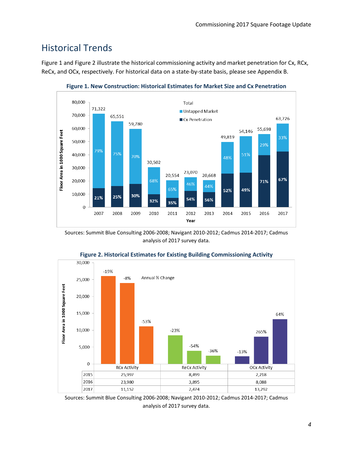# Historical Trends

[Figure 1](#page-5-0) an[d Figure 2](#page-5-1) illustrate the historical commissioning activity and market penetration for Cx, RCx, ReCx, and OCx, respectively. For historical data on a state-by-state basis, please see [Appendix B.](#page-14-0)

<span id="page-5-0"></span>

**Figure 1. New Construction: Historical Estimates for Market Size and Cx Penetration**

Sources: Summit Blue Consulting 2006-2008; Navigant 2010-2012; Cadmus 2014-2017; Cadmus analysis of 2017 survey data.

<span id="page-5-1"></span>

**Figure 2. Historical Estimates for Existing Building Commissioning Activity**

Sources: Summit Blue Consulting 2006-2008; Navigant 2010-2012; Cadmus 2014-2017; Cadmus analysis of 2017 survey data.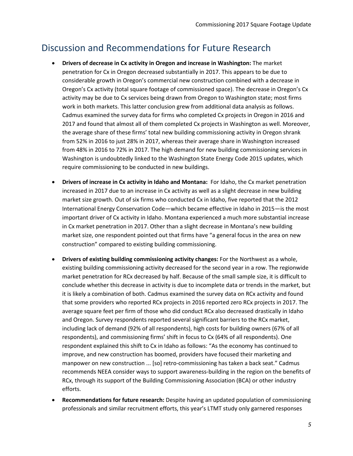# <span id="page-6-0"></span>Discussion and Recommendations for Future Research

- **Drivers of decrease in Cx activity in Oregon and increase in Washington:** The market penetration for Cx in Oregon decreased substantially in 2017. This appears to be due to considerable growth in Oregon's commercial new construction combined with a decrease in Oregon's Cx activity (total square footage of commissioned space). The decrease in Oregon's Cx activity may be due to Cx services being drawn from Oregon to Washington state; most firms work in both markets. This latter conclusion grew from additional data analysis as follows. Cadmus examined the survey data for firms who completed Cx projects in Oregon in 2016 and 2017 and found that almost all of them completed Cx projects in Washington as well. Moreover, the average share of these firms' total new building commissioning activity in Oregon shrank from 52% in 2016 to just 28% in 2017, whereas their average share in Washington increased from 48% in 2016 to 72% in 2017. The high demand for new building commissioning services in Washington is undoubtedly linked to the Washington State Energy Code 2015 updates, which require commissioning to be conducted in new buildings.
- **Drivers of increase in Cx activity in Idaho and Montana:** For Idaho, the Cx market penetration increased in 2017 due to an increase in Cx activity as well as a slight decrease in new building market size growth. Out of six firms who conducted Cx in Idaho, five reported that the 2012 International Energy Conservation Code—which became effective in Idaho in 2015—is the most important driver of Cx activity in Idaho. Montana experienced a much more substantial increase in Cx market penetration in 2017. Other than a slight decrease in Montana's new building market size, one respondent pointed out that firms have "a general focus in the area on new construction" compared to existing building commissioning.
- **Drivers of existing building commissioning activity changes:** For the Northwest as a whole, existing building commissioning activity decreased for the second year in a row. The regionwide market penetration for RCx decreased by half. Because of the small sample size, it is difficult to conclude whether this decrease in activity is due to incomplete data or trends in the market, but it is likely a combination of both. Cadmus examined the survey data on RCx activity and found that some providers who reported RCx projects in 2016 reported zero RCx projects in 2017. The average square feet per firm of those who did conduct RCx also decreased drastically in Idaho and Oregon. Survey respondents reported several significant barriers to the RCx market, including lack of demand (92% of all respondents), high costs for building owners (67% of all respondents), and commissioning firms' shift in focus to Cx (64% of all respondents). One respondent explained this shift to Cx in Idaho as follows: "As the economy has continued to improve, and new construction has boomed, providers have focused their marketing and manpower on new construction ... [so] retro-commissioning has taken a back seat." Cadmus recommends NEEA consider ways to support awareness-building in the region on the benefits of RCx, through its support of the Building Commissioning Association (BCA) or other industry efforts.
- **Recommendations for future research:** Despite having an updated population of commissioning professionals and similar recruitment efforts, this year's LTMT study only garnered responses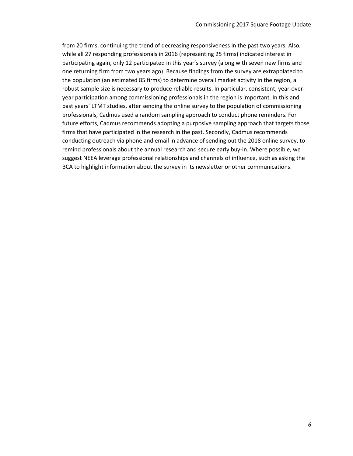from 20 firms, continuing the trend of decreasing responsiveness in the past two years. Also, while all 27 responding professionals in 2016 (representing 25 firms) indicated interest in participating again, only 12 participated in this year's survey (along with seven new firms and one returning firm from two years ago). Because findings from the survey are extrapolated to the population (an estimated 85 firms) to determine overall market activity in the region, a robust sample size is necessary to produce reliable results. In particular, consistent, year-overyear participation among commissioning professionals in the region is important. In this and past years' LTMT studies, after sending the online survey to the population of commissioning professionals, Cadmus used a random sampling approach to conduct phone reminders. For future efforts, Cadmus recommends adopting a purposive sampling approach that targets those firms that have participated in the research in the past. Secondly, Cadmus recommends conducting outreach via phone and email in advance of sending out the 2018 online survey, to remind professionals about the annual research and secure early buy-in. Where possible, we suggest NEEA leverage professional relationships and channels of influence, such as asking the BCA to highlight information about the survey in its newsletter or other communications.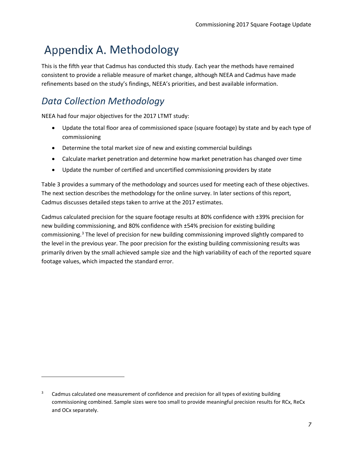# <span id="page-8-0"></span>Appendix A. Methodology

This is the fifth year that Cadmus has conducted this study. Each year the methods have remained consistent to provide a reliable measure of market change, although NEEA and Cadmus have made refinements based on the study's findings, NEEA's priorities, and best available information.

# *Data Collection Methodology*

 $\overline{\phantom{a}}$ 

NEEA had four major objectives for the 2017 LTMT study:

- Update the total floor area of commissioned space (square footage) by state and by each type of commissioning
- Determine the total market size of new and existing commercial buildings
- Calculate market penetration and determine how market penetration has changed over time
- Update the number of certified and uncertified commissioning providers by state

[Table 3](#page-9-0) provides a summary of the methodology and sources used for meeting each of these objectives. The next section describes the methodology for the online survey. In later sections of this report, Cadmus discusses detailed steps taken to arrive at the 2017 estimates.

Cadmus calculated precision for the square footage results at 80% confidence with ±39% precision for new building commissioning, and 80% confidence with ±54% precision for existing building commissioning.[3](#page-8-1) The level of precision for new building commissioning improved slightly compared to the level in the previous year. The poor precision for the existing building commissioning results was primarily driven by the small achieved sample size and the high variability of each of the reported square footage values, which impacted the standard error.

<span id="page-8-1"></span><sup>&</sup>lt;sup>3</sup> Cadmus calculated one measurement of confidence and precision for all types of existing building commissioning combined. Sample sizes were too small to provide meaningful precision results for RCx, ReCx and OCx separately.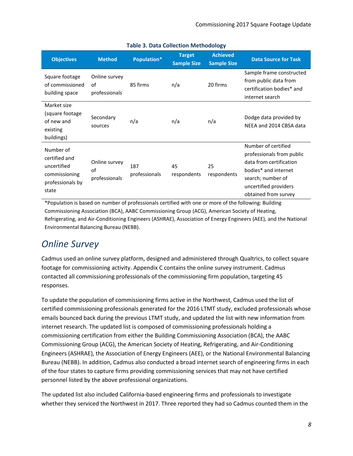<span id="page-9-0"></span>

| <b>Objectives</b>                                                                       | <b>Method</b>                        | Population*          | <b>Target</b><br><b>Sample Size</b> | <b>Achieved</b><br><b>Sample Size</b> | <b>Data Source for Task</b>                                                                                                                                               |
|-----------------------------------------------------------------------------------------|--------------------------------------|----------------------|-------------------------------------|---------------------------------------|---------------------------------------------------------------------------------------------------------------------------------------------------------------------------|
| Square footage<br>of commissioned<br>building space                                     | Online survey<br>of<br>professionals | 85 firms             | n/a                                 | 20 firms                              | Sample frame constructed<br>from public data from<br>certification bodies* and<br>internet search                                                                         |
| Market size<br>(square footage<br>of new and<br>existing<br>buildings)                  | Secondary<br>sources                 | n/a                  | n/a                                 | n/a                                   | Dodge data provided by<br>NEEA and 2014 CBSA data                                                                                                                         |
| Number of<br>certified and<br>uncertified<br>commissioning<br>professionals by<br>state | Online survey<br>of<br>professionals | 187<br>professionals | 45<br>respondents                   | 25<br>respondents                     | Number of certified<br>professionals from public<br>data from certification<br>bodies* and internet<br>search; number of<br>uncertified providers<br>obtained from survey |

### **Table 3. Data Collection Methodology**

\*Population is based on number of professionals certified with one or more of the following: Building Commissioning Association (BCA), AABC Commissioning Group (ACG), American Society of Heating, Refrigerating, and Air-Conditioning Engineers (ASHRAE), Association of Energy Engineers (AEE), and the National Environmental Balancing Bureau (NEBB).

# *Online Survey*

Cadmus used an online survey platform, designed and administered through Qualtrics, to collect square footage for commissioning activity. [Appendix C](#page-18-0) contains the online survey instrument. Cadmus contacted all commissioning professionals of the commissioning firm population, targeting 45 responses.

To update the population of commissioning firms active in the Northwest, Cadmus used the list of certified commissioning professionals generated for the 2016 LTMT study, excluded professionals whose emails bounced back during the previous LTMT study, and updated the list with new information from internet research. The updated list is composed of commissioning professionals holding a commissioning certification from either the Building Commissioning Association (BCA), the AABC Commissioning Group (ACG), the American Society of Heating, Refrigerating, and Air-Conditioning Engineers (ASHRAE), the Association of Energy Engineers (AEE), or the National Environmental Balancing Bureau (NEBB). In addition, Cadmus also conducted a broad internet search of engineering firms in each of the four states to capture firms providing commissioning services that may not have certified personnel listed by the above professional organizations.

The updated list also included California-based engineering firms and professionals to investigate whether they serviced the Northwest in 2017. Three reported they had so Cadmus counted them in the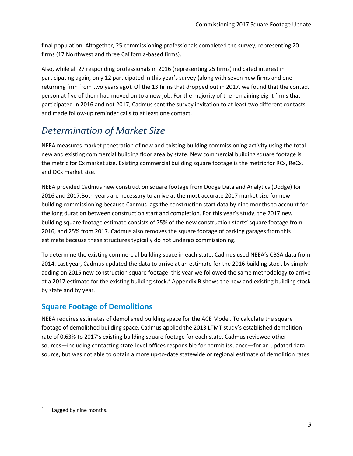final population. Altogether, 25 commissioning professionals completed the survey, representing 20 firms (17 Northwest and three California-based firms).

Also, while all 27 responding professionals in 2016 (representing 25 firms) indicated interest in participating again, only 12 participated in this year's survey (along with seven new firms and one returning firm from two years ago). Of the 13 firms that dropped out in 2017, we found that the contact person at five of them had moved on to a new job. For the majority of the remaining eight firms that participated in 2016 and not 2017, Cadmus sent the survey invitation to at least two different contacts and made follow-up reminder calls to at least one contact.

# *Determination of Market Size*

NEEA measures market penetration of new and existing building commissioning activity using the total new and existing commercial building floor area by state. New commercial building square footage is the metric for Cx market size. Existing commercial building square footage is the metric for RCx, ReCx, and OCx market size.

NEEA provided Cadmus new construction square footage from Dodge Data and Analytics (Dodge) for 2016 and 2017.Both years are necessary to arrive at the most accurate 2017 market size for new building commissioning because Cadmus lags the construction start data by nine months to account for the long duration between construction start and completion. For this year's study, the 2017 new building square footage estimate consists of 75% of the new construction starts' square footage from 2016, and 25% from 2017. Cadmus also removes the square footage of parking garages from this estimate because these structures typically do not undergo commissioning.

To determine the existing commercial building space in each state, Cadmus used NEEA's CBSA data from 2014. Last year, Cadmus updated the data to arrive at an estimate for the 2016 building stock by simply adding on 2015 new construction square footage; this year we followed the same methodology to arrive at a 2017 estimate for the existing building stock.<sup>[4](#page-10-0)</sup> [Appendix B](#page-14-0) shows the new and existing building stock by state and by year.

### **Square Footage of Demolitions**

NEEA requires estimates of demolished building space for the ACE Model. To calculate the square footage of demolished building space, Cadmus applied the 2013 LTMT study's established demolition rate of 0.63% to 2017's existing building square footage for each state. Cadmus reviewed other sources—including contacting state-level offices responsible for permit issuance—for an updated data source, but was not able to obtain a more up-to-date statewide or regional estimate of demolition rates.

l

<span id="page-10-0"></span>Lagged by nine months.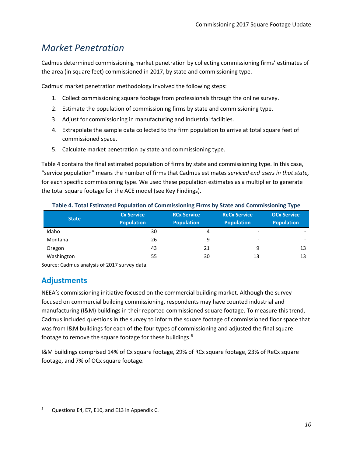# *Market Penetration*

Cadmus determined commissioning market penetration by collecting commissioning firms' estimates of the area (in square feet) commissioned in 2017, by state and commissioning type.

Cadmus' market penetration methodology involved the following steps:

- 1. Collect commissioning square footage from professionals through the online survey.
- 2. Estimate the population of commissioning firms by state and commissioning type.
- 3. Adjust for commissioning in manufacturing and industrial facilities.
- 4. Extrapolate the sample data collected to the firm population to arrive at total square feet of commissioned space.
- 5. Calculate market penetration by state and commissioning type.

[Table 4](#page-11-0) contains the final estimated population of firms by state and commissioning type. In this case, "service population" means the number of firms that Cadmus estimates *serviced end users in that state,* for each specific commissioning type. We used these population estimates as a multiplier to generate the total square footage for the ACE model (see [Key Findings\)](#page-2-0).

<span id="page-11-0"></span>

| <b>State</b> | <b>Cx Service</b> | <b>RCx Service</b> | <b>ReCx Service</b>      | <b>OCx Service</b>       |
|--------------|-------------------|--------------------|--------------------------|--------------------------|
|              | <b>Population</b> | <b>Population</b>  | <b>Population</b>        | <b>Population</b>        |
| Idaho        | 30                | 4                  | $\overline{\phantom{a}}$ | ۰                        |
| Montana      | 26                | 9                  | $\overline{\phantom{0}}$ | $\overline{\phantom{0}}$ |
| Oregon       | 43                | 21                 | 9                        | 13                       |
| Washington   | 55                | 30                 | 13                       | 13                       |

#### **Table 4. Total Estimated Population of Commissioning Firms by State and Commissioning Type**

Source: Cadmus analysis of 2017 survey data.

### **Adjustments**

l

NEEA's commissioning initiative focused on the commercial building market. Although the survey focused on commercial building commissioning, respondents may have counted industrial and manufacturing (I&M) buildings in their reported commissioned square footage. To measure this trend, Cadmus included questions in the survey to inform the square footage of commissioned floor space that was from I&M buildings for each of the four types of commissioning and adjusted the final square footage to remove the square footage for these buildings.[5](#page-11-1)

I&M buildings comprised 14% of Cx square footage, 29% of RCx square footage, 23% of ReCx square footage, and 7% of OCx square footage.

<span id="page-11-1"></span><sup>5</sup> Questions [E4,](#page-22-0) [E7,](#page-23-0) [E10,](#page-24-0) and [E13](#page-25-0) in [Appendix C.](#page-18-0)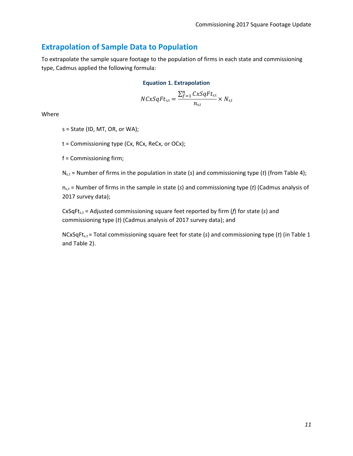### **Extrapolation of Sample Data to Population**

To extrapolate the sample square footage to the population of firms in each state and commissioning type, Cadmus applied the following formula:

#### **Equation 1. Extrapolation**

$$
NCxSqFt_{s,t} = \frac{\sum_{f=1}^{n} CxSqFt_{s,t}}{n_{s,t}} \times N_{s,t}
$$

Where

s = State (ID, MT, OR, or WA);

t = Commissioning type (Cx, RCx, ReCx, or OCx);

f = Commissioning firm;

Ns,t = Number of firms in the population in state (*s*) and commissioning type (*t*) (from [Table 4\)](#page-11-0);

ns,t = Number of firms in the sample in state (*s*) and commissioning type (*t*) (Cadmus analysis of 2017 survey data);

CxSqFt<sub>s,t</sub> = Adjusted commissioning square feet reported by firm (*f*) for state (*s*) and commissioning type (*t*) (Cadmus analysis of 2017 survey data); and

NCxSqFts,t = Total commissioning square feet for state (*s*) and commissioning type (*t*) (in [Table 1](#page-3-0) and [Table 2\)](#page-4-1).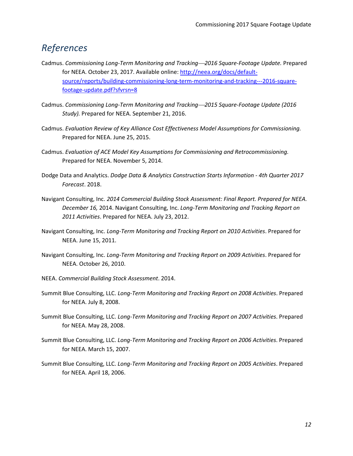## *References*

- Cadmus. *Commissioning Long-Term Monitoring and Tracking2016 Square-Footage Update.* Prepared for NEEA. October 23, 2017. Available online[: http://neea.org/docs/default](http://neea.org/docs/default-source/reports/building-commissioning-long-term-monitoring-and-tracking---2016-square-footage-update.pdf?sfvrsn=8)[source/reports/building-commissioning-long-term-monitoring-and-tracking---2016-square](http://neea.org/docs/default-source/reports/building-commissioning-long-term-monitoring-and-tracking---2016-square-footage-update.pdf?sfvrsn=8)[footage-update.pdf?sfvrsn=8](http://neea.org/docs/default-source/reports/building-commissioning-long-term-monitoring-and-tracking---2016-square-footage-update.pdf?sfvrsn=8)
- Cadmus. *Commissioning Long-Term Monitoring and Tracking2015 Square-Footage Update (2016 Study).* Prepared for NEEA. September 21, 2016.
- Cadmus. *Evaluation Review of Key Alliance Cost Effectiveness Model Assumptions for Commissioning.*  Prepared for NEEA. June 25, 2015.
- Cadmus. *Evaluation of ACE Model Key Assumptions for Commissioning and Retrocommissioning.* Prepared for NEEA. November 5, 2014.
- Dodge Data and Analytics. *Dodge Data & Analytics Construction Starts Information - 4th Quarter 2017 Forecast*. 2018.
- Navigant Consulting, Inc. *2014 Commercial Building Stock Assessment: Final Report. Prepared for NEEA. December 16,* 2014. Navigant Consulting, Inc. *Long-Term Monitoring and Tracking Report on 2011 Activities*. Prepared for NEEA. July 23, 2012.
- Navigant Consulting, Inc. *Long-Term Monitoring and Tracking Report on 2010 Activities*. Prepared for NEEA. June 15, 2011.
- Navigant Consulting, Inc. *Long-Term Monitoring and Tracking Report on 2009 Activities*. Prepared for NEEA. October 26, 2010.
- NEEA. *Commercial Building Stock Assessment*. 2014.
- Summit Blue Consulting, LLC. *Long-Term Monitoring and Tracking Report on 2008 Activities*. Prepared for NEEA. July 8, 2008.
- Summit Blue Consulting, LLC. *Long-Term Monitoring and Tracking Report on 2007 Activities*. Prepared for NEEA. May 28, 2008.
- Summit Blue Consulting, LLC. *Long-Term Monitoring and Tracking Report on 2006 Activities*. Prepared for NEEA. March 15, 2007.
- Summit Blue Consulting, LLC. *Long-Term Monitoring and Tracking Report on 2005 Activities*. Prepared for NEEA. April 18, 2006.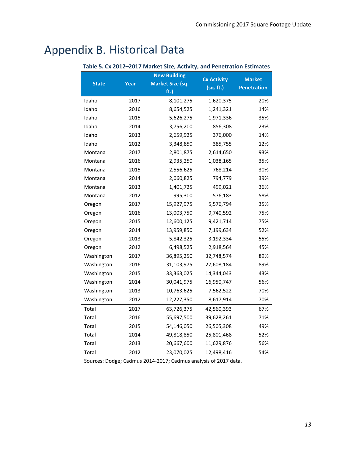# <span id="page-14-1"></span><span id="page-14-0"></span>Appendix B. Historical Data

| <b>New Building</b> |      |                         | <b>Cx Activity</b> | <b>Market</b>      |  |
|---------------------|------|-------------------------|--------------------|--------------------|--|
| <b>State</b>        | Year | <b>Market Size (sq.</b> | (sq. ft.)          | <b>Penetration</b> |  |
|                     |      | ft.)                    |                    |                    |  |
| Idaho               | 2017 | 8,101,275               | 1,620,375          | 20%                |  |
| Idaho               | 2016 | 8,654,525               | 1,241,321          | 14%                |  |
| Idaho               | 2015 | 5,626,275               | 1,971,336          | 35%                |  |
| Idaho               | 2014 | 3,756,200               | 856,308            | 23%                |  |
| Idaho               | 2013 | 2,659,925               | 376,000            | 14%                |  |
| Idaho               | 2012 | 3,348,850               | 385,755            | 12%                |  |
| Montana             | 2017 | 2,801,875               | 2,614,650          | 93%                |  |
| Montana             | 2016 | 2,935,250               | 1,038,165          | 35%                |  |
| Montana             | 2015 | 2,556,625               | 768,214            | 30%                |  |
| Montana             | 2014 | 2,060,825               | 794,779            | 39%                |  |
| Montana             | 2013 | 1,401,725               | 499,021            | 36%                |  |
| Montana             | 2012 | 995,300                 | 576,183            | 58%                |  |
| Oregon              | 2017 | 15,927,975              | 5,576,794          | 35%                |  |
| Oregon              | 2016 | 13,003,750              | 9,740,592          | 75%                |  |
| Oregon              | 2015 | 12,600,125              | 9,421,714          | 75%                |  |
| Oregon              | 2014 | 13,959,850              | 7,199,634          | 52%                |  |
| Oregon              | 2013 | 5,842,325               | 3,192,334          | 55%                |  |
| Oregon              | 2012 | 6,498,525               | 2,918,564          | 45%                |  |
| Washington          | 2017 | 36,895,250              | 32,748,574         | 89%                |  |
| Washington          | 2016 | 31,103,975              | 27,608,184         | 89%                |  |
| Washington          | 2015 | 33,363,025              | 14,344,043         | 43%                |  |
| Washington          | 2014 | 30,041,975              | 16,950,747         | 56%                |  |
| Washington          | 2013 | 10,763,625              | 7,562,522          | 70%                |  |
| Washington          | 2012 | 12,227,350              | 8,617,914          | 70%                |  |
| Total               | 2017 | 63,726,375              | 42,560,393         | 67%                |  |
| Total               | 2016 | 55,697,500              | 39,628,261         | 71%                |  |
| Total               | 2015 | 54,146,050              | 26,505,308         | 49%                |  |
| Total               | 2014 | 49,818,850              | 25,801,468         | 52%                |  |
| Total               | 2013 | 20,667,600              | 11,629,876         | 56%                |  |
| Total               | 2012 | 23,070,025              | 12,498,416         | 54%                |  |

### **Table 5. Cx 2012–2017 Market Size, Activity, and Penetration Estimates**

Sources: Dodge; Cadmus 2014-2017; Cadmus analysis of 2017 data.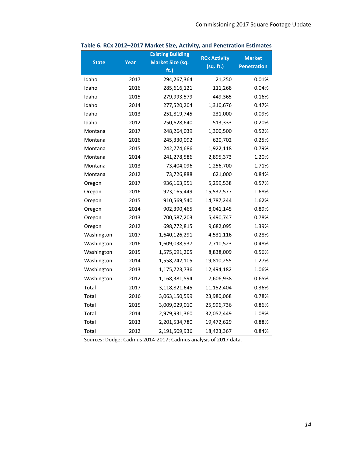| <b>State</b> | Year | <b>Existing Building</b><br><b>Market Size (sq.</b> | <b>RCx Activity</b> | <b>Market</b>      |
|--------------|------|-----------------------------------------------------|---------------------|--------------------|
|              |      | ft.)                                                | (sq. ft.)           | <b>Penetration</b> |
| Idaho        | 2017 | 294,267,364                                         | 21,250              | 0.01%              |
| Idaho        | 2016 | 285,616,121                                         | 111,268             | 0.04%              |
| Idaho        | 2015 | 279,993,579                                         | 449,365             | 0.16%              |
| Idaho        | 2014 | 277,520,204                                         | 1,310,676           | 0.47%              |
| Idaho        | 2013 | 251,819,745                                         | 231,000             | 0.09%              |
| Idaho        | 2012 | 250,628,640                                         | 513,333             | 0.20%              |
| Montana      | 2017 | 248,264,039                                         | 1,300,500           | 0.52%              |
| Montana      | 2016 | 245,330,092                                         | 620,702             | 0.25%              |
| Montana      | 2015 | 242,774,686                                         | 1,922,118           | 0.79%              |
| Montana      | 2014 | 241,278,586                                         | 2,895,373           | 1.20%              |
| Montana      | 2013 | 73,404,096                                          | 1,256,700           | 1.71%              |
| Montana      | 2012 | 73,726,888                                          | 621,000             | 0.84%              |
| Oregon       | 2017 | 936,163,951                                         | 5,299,538           | 0.57%              |
| Oregon       | 2016 | 923,165,449                                         | 15,537,577          | 1.68%              |
| Oregon       | 2015 | 910,569,540                                         | 14,787,244          | 1.62%              |
| Oregon       | 2014 | 902,390,465                                         | 8,041,145           | 0.89%              |
| Oregon       | 2013 | 700,587,203                                         | 5,490,747           | 0.78%              |
| Oregon       | 2012 | 698,772,815                                         | 9,682,095           | 1.39%              |
| Washington   | 2017 | 1,640,126,291                                       | 4,531,116           | 0.28%              |
| Washington   | 2016 | 1,609,038,937                                       | 7,710,523           | 0.48%              |
| Washington   | 2015 | 1,575,691,205                                       | 8,838,009           | 0.56%              |
| Washington   | 2014 | 1,558,742,105                                       | 19,810,255          | 1.27%              |
| Washington   | 2013 | 1,175,723,736                                       | 12,494,182          | 1.06%              |
| Washington   | 2012 | 1,168,381,594                                       | 7,606,938           | 0.65%              |
| Total        | 2017 | 3,118,821,645                                       | 11,152,404          | 0.36%              |
| Total        | 2016 | 3,063,150,599                                       | 23,980,068          | 0.78%              |
| Total        | 2015 | 3,009,029,010                                       | 25,996,736          | 0.86%              |
| Total        | 2014 | 2,979,931,360                                       | 32,057,449          | 1.08%              |
| Total        | 2013 | 2,201,534,780                                       | 19,472,629          | 0.88%              |
| Total        | 2012 | 2,191,509,936                                       | 18,423,367          | 0.84%              |

<span id="page-15-0"></span>**Table 6. RCx 2012–2017 Market Size, Activity, and Penetration Estimates** 

Source*s*: Dodge; Cadmus 2014-2017; Cadmus analysis of 2017 data.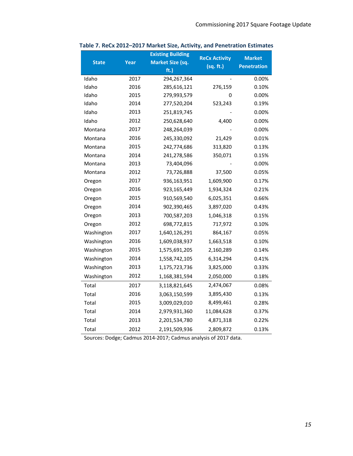| <b>State</b> | Year | <b>Existing Building</b><br><b>Market Size (sq.</b> | <b>ReCx Activity</b> | <b>Market</b>      |
|--------------|------|-----------------------------------------------------|----------------------|--------------------|
|              |      | ft.)                                                | (sq. ft.)            | <b>Penetration</b> |
| Idaho        | 2017 | 294,267,364                                         |                      | 0.00%              |
| Idaho        | 2016 | 285,616,121                                         | 276,159              | 0.10%              |
| Idaho        | 2015 | 279,993,579                                         | 0                    | 0.00%              |
| Idaho        | 2014 | 277,520,204                                         | 523,243              | 0.19%              |
| Idaho        | 2013 | 251,819,745                                         |                      | 0.00%              |
| Idaho        | 2012 | 250,628,640                                         | 4,400                | 0.00%              |
| Montana      | 2017 | 248,264,039                                         |                      | 0.00%              |
| Montana      | 2016 | 245,330,092                                         | 21,429               | 0.01%              |
| Montana      | 2015 | 242,774,686                                         | 313,820              | 0.13%              |
| Montana      | 2014 | 241,278,586                                         | 350,071              | 0.15%              |
| Montana      | 2013 | 73,404,096                                          |                      | 0.00%              |
| Montana      | 2012 | 73,726,888                                          | 37,500               | 0.05%              |
| Oregon       | 2017 | 936,163,951                                         | 1,609,900            | 0.17%              |
| Oregon       | 2016 | 923,165,449                                         | 1,934,324            | 0.21%              |
| Oregon       | 2015 | 910,569,540                                         | 6,025,351            | 0.66%              |
| Oregon       | 2014 | 902,390,465                                         | 3,897,020            | 0.43%              |
| Oregon       | 2013 | 700,587,203                                         | 1,046,318            | 0.15%              |
| Oregon       | 2012 | 698,772,815                                         | 717,972              | 0.10%              |
| Washington   | 2017 | 1,640,126,291                                       | 864,167              | 0.05%              |
| Washington   | 2016 | 1,609,038,937                                       | 1,663,518            | 0.10%              |
| Washington   | 2015 | 1,575,691,205                                       | 2,160,289            | 0.14%              |
| Washington   | 2014 | 1,558,742,105                                       | 6,314,294            | 0.41%              |
| Washington   | 2013 | 1,175,723,736                                       | 3,825,000            | 0.33%              |
| Washington   | 2012 | 1,168,381,594                                       | 2,050,000            | 0.18%              |
| Total        | 2017 | 3,118,821,645                                       | 2,474,067            | 0.08%              |
| Total        | 2016 | 3,063,150,599                                       | 3,895,430            | 0.13%              |
| Total        | 2015 | 3,009,029,010                                       | 8,499,461            | 0.28%              |
| Total        | 2014 | 2,979,931,360                                       | 11,084,628           | 0.37%              |
| Total        | 2013 | 2,201,534,780                                       | 4,871,318            | 0.22%              |
| Total        | 2012 | 2,191,509,936                                       | 2,809,872            | 0.13%              |

<span id="page-16-0"></span>**Table 7. ReCx 2012–2017 Market Size, Activity, and Penetration Estimates**

Sources: Dodge; Cadmus 2014-2017; Cadmus analysis of 2017 data.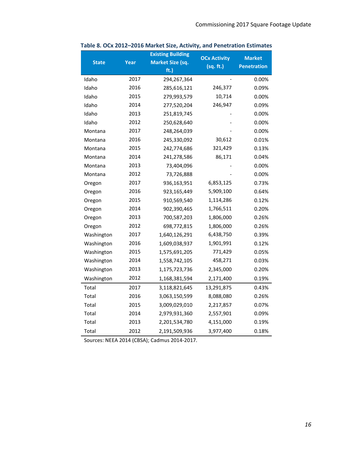|              |      | <b>Existing Building</b> | <b>OCx Activity</b> | <b>Market</b>      |
|--------------|------|--------------------------|---------------------|--------------------|
| <b>State</b> | Year | <b>Market Size (sq.</b>  | (sq. ft.)           | <b>Penetration</b> |
|              |      | ft.)                     |                     |                    |
| Idaho        | 2017 | 294,267,364              |                     | $0.00\%$           |
| Idaho        | 2016 | 285,616,121              | 246,377             | 0.09%              |
| Idaho        | 2015 | 279,993,579              | 10,714              | 0.00%              |
| Idaho        | 2014 | 277,520,204              | 246,947             | 0.09%              |
| Idaho        | 2013 | 251,819,745              |                     | 0.00%              |
| Idaho        | 2012 | 250,628,640              |                     | 0.00%              |
| Montana      | 2017 | 248,264,039              |                     | 0.00%              |
| Montana      | 2016 | 245,330,092              | 30,612              | 0.01%              |
| Montana      | 2015 | 242,774,686              | 321,429             | 0.13%              |
| Montana      | 2014 | 241,278,586              | 86,171              | 0.04%              |
| Montana      | 2013 | 73,404,096               |                     | $0.00\%$           |
| Montana      | 2012 | 73,726,888               |                     | 0.00%              |
| Oregon       | 2017 | 936,163,951              | 6,853,125           | 0.73%              |
| Oregon       | 2016 | 923,165,449              | 5,909,100           | 0.64%              |
| Oregon       | 2015 | 910,569,540              | 1,114,286           | 0.12%              |
| Oregon       | 2014 | 902,390,465              | 1,766,511           | 0.20%              |
| Oregon       | 2013 | 700,587,203              | 1,806,000           | 0.26%              |
| Oregon       | 2012 | 698,772,815              | 1,806,000           | 0.26%              |
| Washington   | 2017 | 1,640,126,291            | 6,438,750           | 0.39%              |
| Washington   | 2016 | 1,609,038,937            | 1,901,991           | 0.12%              |
| Washington   | 2015 | 1,575,691,205            | 771,429             | 0.05%              |
| Washington   | 2014 | 1,558,742,105            | 458,271             | 0.03%              |
| Washington   | 2013 | 1,175,723,736            | 2,345,000           | 0.20%              |
| Washington   | 2012 | 1,168,381,594            | 2,171,400           | 0.19%              |
| Total        | 2017 | 3,118,821,645            | 13,291,875          | 0.43%              |
| Total        | 2016 | 3,063,150,599            | 8,088,080           | 0.26%              |
| Total        | 2015 | 3,009,029,010            | 2,217,857           | 0.07%              |
| Total        | 2014 | 2,979,931,360            | 2,557,901           | 0.09%              |
| Total        | 2013 | 2,201,534,780            | 4,151,000           | 0.19%              |
| Total        | 2012 | 2,191,509,936            | 3,977,400           | 0.18%              |

### <span id="page-17-0"></span>**Table 8. OCx 2012–2016 Market Size, Activity, and Penetration Estimates**

Sources: NEEA 2014 (CBSA); Cadmus 2014-2017.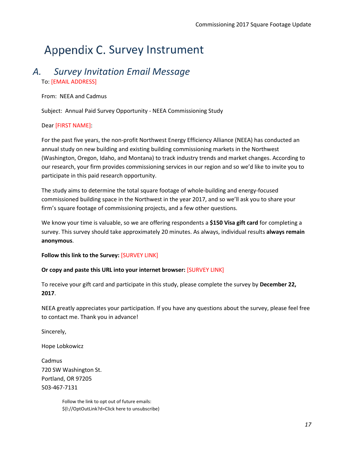# <span id="page-18-0"></span>Appendix C. Survey Instrument

### *A. Survey Invitation Email Message* To: [EMAIL ADDRESS]

From: NEEA and Cadmus

Subject: Annual Paid Survey Opportunity - NEEA Commissioning Study

### Dear [FIRST NAME]:

For the past five years, the non-profit Northwest Energy Efficiency Alliance (NEEA) has conducted an annual study on new building and existing building commissioning markets in the Northwest (Washington, Oregon, Idaho, and Montana) to track industry trends and market changes. According to our research, your firm provides commissioning services in our region and so we'd like to invite you to participate in this paid research opportunity.

The study aims to determine the total square footage of whole-building and energy-focused commissioned building space in the Northwest in the year 2017, and so we'll ask you to share your firm's square footage of commissioning projects, and a few other questions.

We know your time is valuable, so we are offering respondents a **\$150 Visa gift card** for completing a survey. This survey should take approximately 20 minutes. As always, individual results **always remain anonymous**.

### **Follow this link to the Survey:** [SURVEY LINK]

#### **Or copy and paste this URL into your internet browser:** [SURVEY LINK]

To receive your gift card and participate in this study, please complete the survey by **December 22, 2017**.

NEEA greatly appreciates your participation. If you have any questions about the survey, please feel free to contact me. Thank you in advance!

Sincerely,

Hope Lobkowicz

Cadmus 720 SW Washington St. Portland, OR 97205 503-467-7131

> Follow the link to opt out of future emails: \${l://OptOutLink?d=Click here to unsubscribe}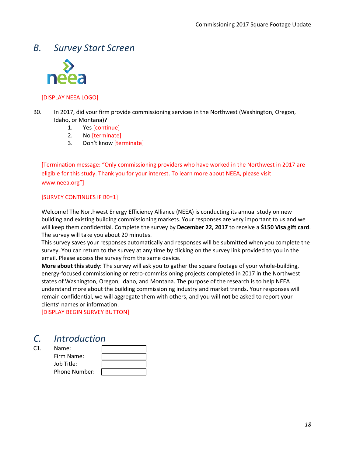## *B. Survey Start Screen*



### [DISPLAY NEEA LOGO]

- <span id="page-19-0"></span>B0. In 2017, did your firm provide commissioning services in the Northwest (Washington, Oregon, Idaho, or Montana)?
	- 1. Yes [continue]
	- 2. No [terminate]
	- 3. Don't know [terminate]

[Termination message: "Only commissioning providers who have worked in the Northwest in 2017 are eligible for this study. Thank you for your interest. To learn more about NEEA, please visit www.neea.org"]

### [SURVEY CONTINUES I[F B0=](#page-19-0)1]

Welcome! The Northwest Energy Efficiency Alliance (NEEA) is conducting its annual study on new building and existing building commissioning markets. Your responses are very important to us and we will keep them confidential. Complete the survey by **December 22, 2017** to receive a **\$150 Visa gift card**. The survey will take you about 20 minutes.

This survey saves your responses automatically and responses will be submitted when you complete the survey. You can return to the survey at any time by clicking on the survey link provided to you in the email. Please access the survey from the same device.

**More about this study:** The survey will ask you to gather the square footage of your whole-building, energy-focused commissioning or retro-commissioning projects completed in 2017 in the Northwest states of Washington, Oregon, Idaho, and Montana. The purpose of the research is to help NEEA understand more about the building commissioning industry and market trends. Your responses will remain confidential, we will aggregate them with others, and you will **not** be asked to report your clients' names or information.

[DISPLAY BEGIN SURVEY BUTTON]

# *C. Introduction*

C1. Name: Firm Name: Job Title:

| Name:         |  |
|---------------|--|
| Firm Name:    |  |
|               |  |
| Job Title:    |  |
| Phone Number: |  |
|               |  |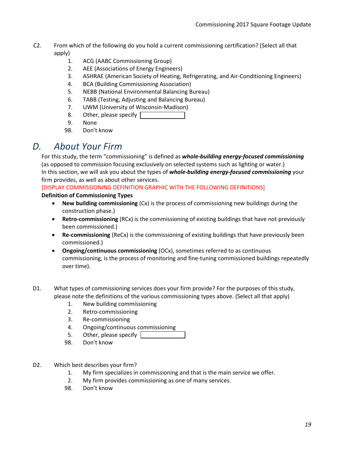- C2. From which of the following do you hold a current commissioning certification? (Select all that apply)
	- 1. ACG (AABC Commissioning Group)
	- 2. AEE (Associations of Energy Engineers)
	- 3. ASHRAE (American Society of Heating, Refrigerating, and Air-Conditioning Engineers)
	- 4. BCA (Building Commissioning Association)
	- 5. NEBB (National Environmental Balancing Bureau)
	- 6. TABB (Testing, Adjusting and Balancing Bureau)
	- 7. UWM (University of Wisconsin-Madison)
	- 8. Other, please specify
	- 9. None
	- 98. Don't know

## *D. About Your Firm*

For this study, the term "commissioning" is defined as *whole-building energy-focused commissioning* (as opposed to commission focusing exclusively on selected systems such as lighting or water.) In this section, we will ask you about the types of *whole-building energy-focused commissioning* your firm provides, as well as about other services.

[DISPLAY COMMISSIONING DEFINITION GRAPHIC WITH THE FOLLOWING DEFINITIONS]

### **Definition of Commissioning Types**

- **New building commissioning** (Cx) is the process of commissioning new buildings during the construction phase.)
- **Retro-commissioning** (RCx) is the commissioning of existing buildings that have not previously been commissioned.)
- **Re-commissioning** (ReCx) is the commissioning of existing buildings that have previously been commissioned.)
- **Ongoing/continuous commissioning** (OCx), sometimes referred to as continuous commissioning, is the process of monitoring and fine-tuning commissioned buildings repeatedly over time).
- <span id="page-20-0"></span>D1. What types of commissioning services does your firm provide? For the purposes of this study, please note the definitions of the various commissioning types above. (Select all that apply)
	- 1. New building commissioning
	- 2. Retro-commissioning
	- 3. Re-commissioning
	- 4. Ongoing/continuous commissioning
	- 5. Other, please specify
	- 98. Don't know
- D2. Which best describes your firm?
	- 1. My firm specializes in commissioning and that is the main service we offer.
	- 2. My firm provides commissioning as one of many services.
	- 98. Don't know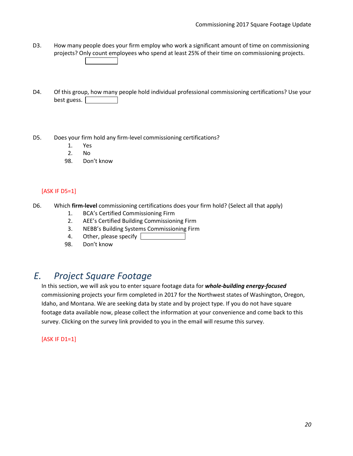- D3. How many people does your firm employ who work a significant amount of time on commissioning projects? Only count employees who spend at least 25% of their time on commissioning projects.
- D4. Of this group, how many people hold individual professional commissioning certifications? Use your best guess.
- <span id="page-21-0"></span>D5. Does your firm hold any firm-level commissioning certifications?
	- 1. Yes
	- 2. No
	- 98. Don't know

### [ASK IF [D5=](#page-21-0)1]

- D6. Which **firm-level** commissioning certifications does your firm hold? (Select all that apply)
	- 1. BCA's Certified Commissioning Firm
	- 2. AEE's Certified Building Commissioning Firm
	- 3. NEBB's Building Systems Commissioning Firm
	- 4. Other, please specify
	- 98. Don't know

# *E. Project Square Footage*

In this section, we will ask you to enter square footage data for *whole-building energy-focused* commissioning projects your firm completed in 2017 for the Northwest states of Washington, Oregon, Idaho, and Montana. We are seeking data by state and by project type. If you do not have square footage data available now, please collect the information at your convenience and come back to this survey. Clicking on the survey link provided to you in the email will resume this survey.

### [ASK IF [D1=](#page-20-0)1]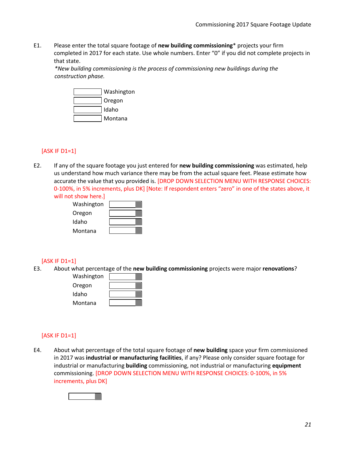<span id="page-22-1"></span>E1. Please enter the total square footage of **new building commissioning**\* projects your firm completed in 2017 for each state. Use whole numbers. Enter "0" if you did not complete projects in that state.

*\*New building commissioning is the process of commissioning new buildings during the construction phase.*



#### [ASK IF [D1=](#page-20-0)1]

E2. If any of the square footage you just entered for **new building commissioning** was estimated, help us understand how much variance there may be from the actual square feet. Please estimate how accurate the value that you provided is. [DROP DOWN SELECTION MENU WITH RESPONSE CHOICES: 0-100%, in 5% increments, plus DK] [Note: If respondent enters "zero" in one of the states above, it will not show here.]

| Washington |  |
|------------|--|
| Oregon     |  |
| Idaho      |  |
| Montana    |  |

#### [ASK IF [D1=](#page-20-0)1]

E3. About what percentage of the **new building commissioning** projects were major **renovations**?

| Washington |  |
|------------|--|
| Oregon     |  |
| Idaho      |  |
| Montana    |  |

#### [ASK IF [D1=](#page-20-0)1]

<span id="page-22-0"></span>E4. About what percentage of the total square footage of **new building** space your firm commissioned in 2017 was **industrial or manufacturing facilities**, if any? Please only consider square footage for industrial or manufacturing **building** commissioning, not industrial or manufacturing **equipment** commissioning. [DROP DOWN SELECTION MENU WITH RESPONSE CHOICES: 0-100%, in 5% increments, plus DK]

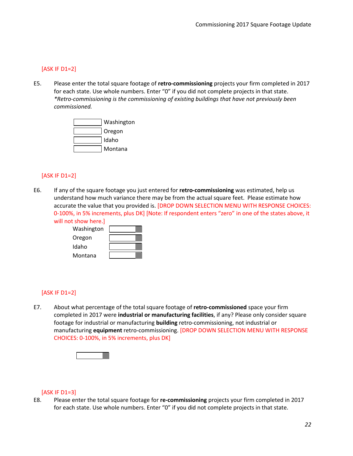### [ASK IF [D1=](#page-20-0)2]

<span id="page-23-2"></span>E5. Please enter the total square footage of **retro-commissioning** projects your firm completed in 2017 for each state. Use whole numbers. Enter "0" if you did not complete projects in that state. *\*Retro-commissioning is the commissioning of existing buildings that have not previously been commissioned.*



### [ASK IF [D1=](#page-20-0)2]

E6. If any of the square footage you just entered for **retro-commissioning** was estimated, help us understand how much variance there may be from the actual square feet. Please estimate how accurate the value that you provided is. [DROP DOWN SELECTION MENU WITH RESPONSE CHOICES: 0-100%, in 5% increments, plus DK] [Note: If respondent enters "zero" in one of the states above, it will not show here.]

| ו טווט שעטווכ |  |
|---------------|--|
| Washington    |  |
| Oregon        |  |
| Idaho         |  |
| Montana       |  |

### [ASK IF [D1=](#page-20-0)2]

<span id="page-23-0"></span>E7. About what percentage of the total square footage of **retro-commissioned** space your firm completed in 2017 were **industrial or manufacturing facilities**, if any? Please only consider square footage for industrial or manufacturing **building** retro-commissioning, not industrial or manufacturing **equipment** retro-commissioning. [DROP DOWN SELECTION MENU WITH RESPONSE CHOICES: 0-100%, in 5% increments, plus DK]



#### <span id="page-23-1"></span>[ASK IF [D1=](#page-20-0)3]

E8. Please enter the total square footage for **re-commissioning** projects your firm completed in 2017 for each state. Use whole numbers. Enter "0" if you did not complete projects in that state.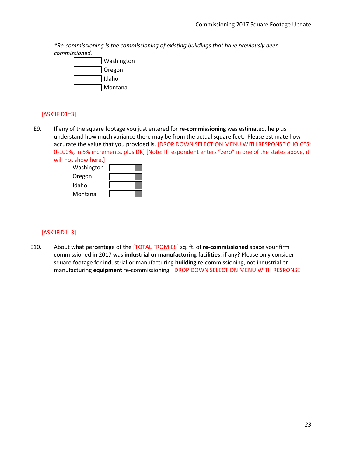*\*Re-commissioning is the commissioning of existing buildings that have previously been commissioned.*



### [ASK IF [D1=](#page-20-0)3]

E9. If any of the square footage you just entered for **re-commissioning** was estimated, help us understand how much variance there may be from the actual square feet. Please estimate how accurate the value that you provided is. [DROP DOWN SELECTION MENU WITH RESPONSE CHOICES: 0-100%, in 5% increments, plus DK] [Note: If respondent enters "zero" in one of the states above, it will not show here.]

| ו אושע ווכוכ. |  |
|---------------|--|
| Washington    |  |
| Oregon        |  |
| Idaho         |  |
| Montana       |  |

### [ASK IF [D1=](#page-20-0)3]

<span id="page-24-0"></span>E10. About what percentage of the [TOTAL FROM [E8\]](#page-23-1) sq. ft. of **re-commissioned** space your firm commissioned in 2017 was **industrial or manufacturing facilities**, if any? Please only consider square footage for industrial or manufacturing **building** re-commissioning, not industrial or manufacturing **equipment** re-commissioning. [DROP DOWN SELECTION MENU WITH RESPONSE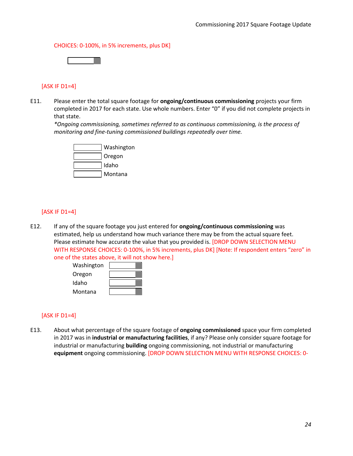CHOICES: 0-100%, in 5% increments, plus DK]



### [ASK IF [D1=](#page-20-0)4]

<span id="page-25-1"></span>E11. Please enter the total square footage for **ongoing/continuous commissioning** projects your firm completed in 2017 for each state. Use whole numbers. Enter "0" if you did not complete projects in that state.

*\*Ongoing commissioning, sometimes referred to as continuous commissioning, is the process of monitoring and fine-tuning commissioned buildings repeatedly over time.*



### [ASK IF [D1=](#page-20-0)4]

E12. If any of the square footage you just entered for **ongoing/continuous commissioning** was estimated, help us understand how much variance there may be from the actual square feet. Please estimate how accurate the value that you provided is. [DROP DOWN SELECTION MENU WITH RESPONSE CHOICES: 0-100%, in 5% increments, plus DK] [Note: If respondent enters "zero" in one of the states above, it will not show here.]



### [ASK IF [D1=](#page-20-0)4]

<span id="page-25-0"></span>E13. About what percentage of the square footage of **ongoing commissioned** space your firm completed in 2017 was in **industrial or manufacturing facilities**, if any? Please only consider square footage for industrial or manufacturing **building** ongoing commissioning, not industrial or manufacturing **equipment** ongoing commissioning. [DROP DOWN SELECTION MENU WITH RESPONSE CHOICES: 0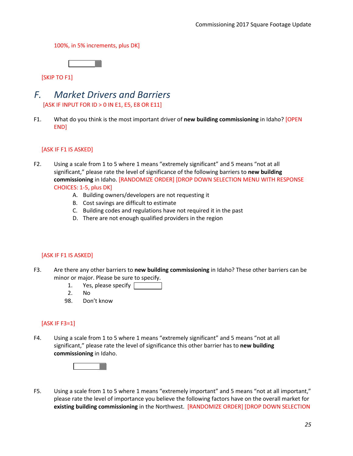100%, in 5% increments, plus DK]



[SKIP TO F1]

- *F. Market Drivers and Barriers* [ASK IF INPUT FOR ID > 0 IN [E1,](#page-22-1) [E5,](#page-23-2) [E8](#page-23-1) OR [E11\]](#page-25-1)
- <span id="page-26-0"></span>F1. What do you think is the most important driver of **new building commissioning** in Idaho? [OPEN END]

### [ASK IF [F1](#page-26-0) IS ASKED]

- F2. Using a scale from 1 to 5 where 1 means "extremely significant" and 5 means "not at all significant," please rate the level of significance of the following barriers to **new building commissioning** in Idaho. [RANDOMIZE ORDER] [DROP DOWN SELECTION MENU WITH RESPONSE CHOICES: 1-5, plus DK]
	- A. Building owners/developers are not requesting it
	- B. Cost savings are difficult to estimate
	- C. Building codes and regulations have not required it in the past
	- D. There are not enough qualified providers in the region

### [ASK IF [F1](#page-26-0) IS ASKED]

- <span id="page-26-1"></span>F3. Are there any other barriers to **new building commissioning** in Idaho? These other barriers can be minor or major. Please be sure to specify.
	- 1. Yes, please specify  $\Box$
	- 2. No
	- 98. Don't know

### [ASK IF [F3=](#page-26-1)1]

F4. Using a scale from 1 to 5 where 1 means "extremely significant" and 5 means "not at all significant," please rate the level of significance this other barrier has to **new building commissioning** in Idaho.



F5. Using a scale from 1 to 5 where 1 means "extremely important" and 5 means "not at all important," please rate the level of importance you believe the following factors have on the overall market for **existing building commissioning** in the Northwest. [RANDOMIZE ORDER] [DROP DOWN SELECTION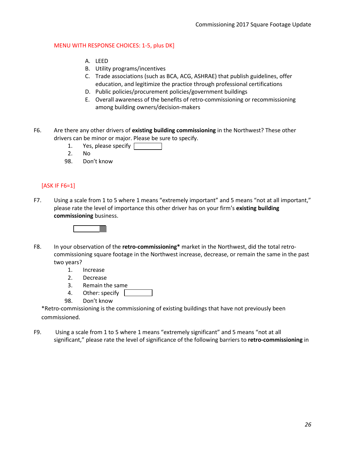### MENU WITH RESPONSE CHOICES: 1-5, plus DK]

- A. LEED
- B. Utility programs/incentives
- C. Trade associations (such as BCA, ACG, ASHRAE) that publish guidelines, offer education, and legitimize the practice through professional certifications
- D. Public policies/procurement policies/government buildings
- E. Overall awareness of the benefits of retro-commissioning or recommissioning among building owners/decision-makers
- <span id="page-27-0"></span>F6. Are there any other drivers of **existing building commissioning** in the Northwest? These other drivers can be minor or major. Please be sure to specify.
	- 1. Yes, please specify
	- 2. No
	- 98. Don't know

### [ASK IF [F6=](#page-27-0)1]

F7. Using a scale from 1 to 5 where 1 means "extremely important" and 5 means "not at all important," please rate the level of importance this other driver has on your firm's **existing building commissioning** business.



- <span id="page-27-1"></span>F8. In your observation of the **retro-commissioning\*** market in the Northwest, did the total retrocommissioning square footage in the Northwest increase, decrease, or remain the same in the past two years?
	- 1. Increase
	- 2. Decrease
	- 3. Remain the same
	- 4. Other: specify
	- 98. Don't know

\*Retro-commissioning is the commissioning of existing buildings that have not previously been commissioned.

F9. Using a scale from 1 to 5 where 1 means "extremely significant" and 5 means "not at all significant," please rate the level of significance of the following barriers to **retro-commissioning** in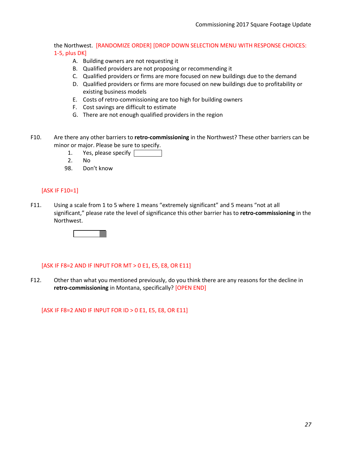the Northwest. [RANDOMIZE ORDER] [DROP DOWN SELECTION MENU WITH RESPONSE CHOICES: 1-5, plus DK]

- A. Building owners are not requesting it
- B. Qualified providers are not proposing or recommending it
- C. Qualified providers or firms are more focused on new buildings due to the demand
- D. Qualified providers or firms are more focused on new buildings due to profitability or existing business models
- E. Costs of retro-commissioning are too high for building owners
- F. Cost savings are difficult to estimate
- G. There are not enough qualified providers in the region
- <span id="page-28-0"></span>F10. Are there any other barriers to **retro-commissioning** in the Northwest? These other barriers can be minor or major. Please be sure to specify.
	- 1. Yes, please specify  $\sqrt{ }$
	- 2. No
	- 98. Don't know

#### [ASK IF [F10=](#page-28-0)1]

F11. Using a scale from 1 to 5 where 1 means "extremely significant" and 5 means "not at all significant," please rate the level of significance this other barrier has to **retro-commissioning** in the Northwest.



#### [ASK IF [F8=](#page-27-1)2 AND IF INPUT FOR MT > 0 [E1,](#page-22-1) [E5,](#page-23-2) [E8,](#page-23-1) OR [E11\]](#page-25-1)

F12. Other than what you mentioned previously, do you think there are any reasons for the decline in **retro-commissioning** in Montana, specifically? [OPEN END]

[ASK IF [F8=](#page-27-1)2 AND IF INPUT FOR ID > 0 [E1,](#page-22-1) [E5,](#page-23-2) [E8,](#page-23-1) OR [E11\]](#page-25-1)